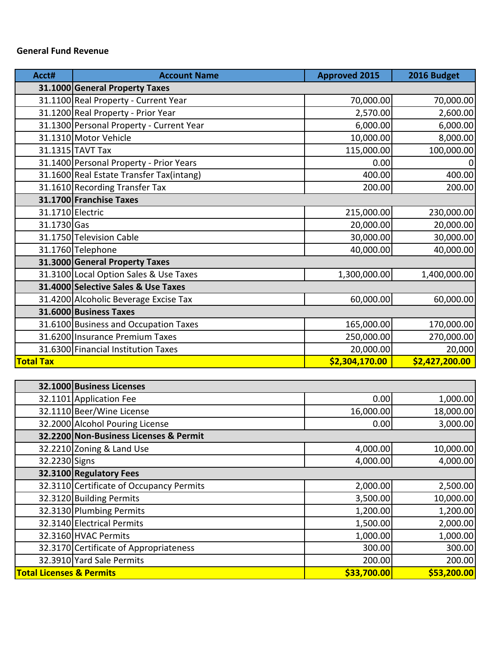### **General Fund Revenue**

| Acct#            | <b>Account Name</b>                      | <b>Approved 2015</b> | 2016 Budget    |
|------------------|------------------------------------------|----------------------|----------------|
|                  | 31.1000 General Property Taxes           |                      |                |
|                  | 31.1100 Real Property - Current Year     | 70,000.00            | 70,000.00      |
|                  | 31.1200 Real Property - Prior Year       | 2,570.00             | 2,600.00       |
|                  | 31.1300 Personal Property - Current Year | 6,000.00             | 6,000.00       |
|                  | 31.1310 Motor Vehicle                    | 10,000.00            | 8,000.00       |
|                  | 31.1315 TAVT Tax                         | 115,000.00           | 100,000.00     |
|                  | 31.1400 Personal Property - Prior Years  | 0.00                 | $\overline{0}$ |
|                  | 31.1600 Real Estate Transfer Tax(intang) | 400.00               | 400.00         |
|                  | 31.1610 Recording Transfer Tax           | 200.00               | 200.00         |
|                  | 31.1700 Franchise Taxes                  |                      |                |
| 31.1710 Electric |                                          | 215,000.00           | 230,000.00     |
| 31.1730 Gas      |                                          | 20,000.00            | 20,000.00      |
|                  | 31.1750 Television Cable                 | 30,000.00            | 30,000.00      |
|                  | 31.1760 Telephone                        | 40,000.00            | 40,000.00      |
|                  | 31.3000 General Property Taxes           |                      |                |
|                  | 31.3100 Local Option Sales & Use Taxes   | 1,300,000.00         | 1,400,000.00   |
|                  | 31.4000 Selective Sales & Use Taxes      |                      |                |
|                  | 31.4200 Alcoholic Beverage Excise Tax    | 60,000.00            | 60,000.00      |
|                  | 31.6000 Business Taxes                   |                      |                |
|                  | 31.6100 Business and Occupation Taxes    | 165,000.00           | 170,000.00     |
|                  | 31.6200 Insurance Premium Taxes          | 250,000.00           | 270,000.00     |
|                  | 31.6300 Financial Institution Taxes      | 20,000.00            | 20,000         |
| <b>Total Tax</b> |                                          | \$2,304,170.00       | \$2,427,200.00 |
|                  |                                          |                      |                |

|                                     | 32.1000 Business Licenses                |             |             |
|-------------------------------------|------------------------------------------|-------------|-------------|
|                                     | 32.1101 Application Fee                  | 0.00        | 1,000.00    |
|                                     | 32.1110 Beer/Wine License                | 16,000.00   | 18,000.00   |
|                                     | 32.2000 Alcohol Pouring License          | 0.00        | 3,000.00    |
|                                     | 32.2200 Non-Business Licenses & Permit   |             |             |
|                                     | 32.2210 Zoning & Land Use                | 4,000.00    | 10,000.00   |
| 32.2230 Signs                       |                                          | 4,000.00    | 4,000.00    |
|                                     | 32.3100 Regulatory Fees                  |             |             |
|                                     | 32.3110 Certificate of Occupancy Permits | 2,000.00    | 2,500.00    |
|                                     | 32.3120 Building Permits                 | 3,500.00    | 10,000.00   |
|                                     | 32.3130 Plumbing Permits                 | 1,200.00    | 1,200.00    |
|                                     | 32.3140 Electrical Permits               | 1,500.00    | 2,000.00    |
|                                     | 32.3160 HVAC Permits                     | 1,000.00    | 1,000.00    |
|                                     | 32.3170 Certificate of Appropriateness   | 300.00      | 300.00      |
|                                     | 32.3910 Yard Sale Permits                | 200.00      | 200.00      |
| <b>Total Licenses &amp; Permits</b> |                                          | \$33,700.00 | \$53,200.00 |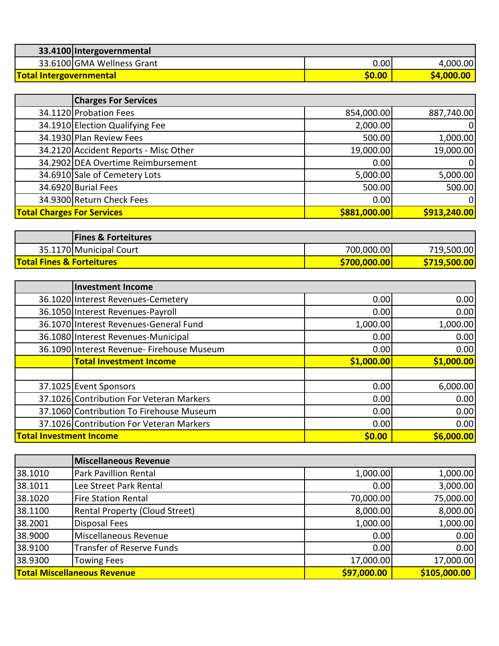| 33.4100 Intergovernmental      |        |                  |
|--------------------------------|--------|------------------|
| 33.6100 GMA Wellness Grant     | 0.00   | 4,000.00         |
| <b>Total Intergovernmental</b> | \$0.00 | <b>S4,000.00</b> |

|                                   | <b>Charges For Services</b>           |              |              |
|-----------------------------------|---------------------------------------|--------------|--------------|
|                                   | 34.1120 Probation Fees                | 854,000.00   | 887,740.00   |
|                                   | 34.1910 Election Qualifying Fee       | 2,000.00     |              |
|                                   | 34.1930 Plan Review Fees              | 500.00       | 1,000.00     |
|                                   | 34.2120 Accident Reports - Misc Other | 19,000.00    | 19,000.00    |
|                                   | 34.2902 DEA Overtime Reimbursement    | 0.00         |              |
|                                   | 34.6910 Sale of Cemetery Lots         | 5,000.00     | 5,000.00     |
|                                   | 34.6920 Burial Fees                   | 500.00       | 500.00       |
|                                   | 34.9300 Return Check Fees             | 0.00         |              |
| <b>Total Charges For Services</b> |                                       | \$881,000.00 | \$913,240.00 |
|                                   |                                       |              |              |

| <b>Fines &amp; Forteitures</b>       |              |             |
|--------------------------------------|--------------|-------------|
| 35.1170 Municipal Court              | 700,000.00   | 719,500.00  |
| <b>Total Fines &amp; Forteitures</b> | \$700,000.00 | S719,500.00 |

|                                | <b>Investment Income</b>                   |            |            |
|--------------------------------|--------------------------------------------|------------|------------|
|                                | 36.1020 Interest Revenues-Cemetery         | 0.00       | 0.00       |
|                                | 36.1050 Interest Revenues-Payroll          | 0.00       | 0.00       |
|                                | 36.1070 Interest Revenues-General Fund     | 1,000.00   | 1,000.00   |
|                                | 36.1080 Interest Revenues-Municipal        | 0.00       | 0.00       |
|                                | 36.1090 Interest Revenue- Firehouse Museum | 0.00       | 0.00       |
|                                | <b>Total Investment Income</b>             | \$1,000.00 | \$1,000.00 |
|                                |                                            |            |            |
|                                | 37.1025 Event Sponsors                     | 0.00       | 6,000.00   |
|                                | 37.1026 Contribution For Veteran Markers   | 0.00       | 0.00       |
|                                | 37.1060 Contribution To Firehouse Museum   | 0.00       | 0.00       |
|                                | 37.1026 Contribution For Veteran Markers   | 0.00       | 0.00       |
| <b>Total Investment Income</b> |                                            | \$0.00     | \$6,000.00 |

|         | <b>Miscellaneous Revenue</b>       |             |              |
|---------|------------------------------------|-------------|--------------|
| 38.1010 | <b>Park Pavillion Rental</b>       | 1,000.00    | 1,000.00     |
| 38.1011 | Lee Street Park Rental             | 0.00        | 3,000.00     |
| 38.1020 | <b>Fire Station Rental</b>         | 70,000.00   | 75,000.00    |
| 38.1100 | Rental Property (Cloud Street)     | 8,000.00    | 8,000.00     |
| 38.2001 | <b>Disposal Fees</b>               | 1,000.00    | 1,000.00     |
| 38.9000 | Miscellaneous Revenue              | 0.00        | 0.00         |
| 38.9100 | <b>Transfer of Reserve Funds</b>   | 0.00        | 0.00         |
| 38.9300 | <b>Towing Fees</b>                 | 17,000.00   | 17,000.00    |
|         | <b>Total Miscellaneous Revenue</b> | \$97,000.00 | \$105,000.00 |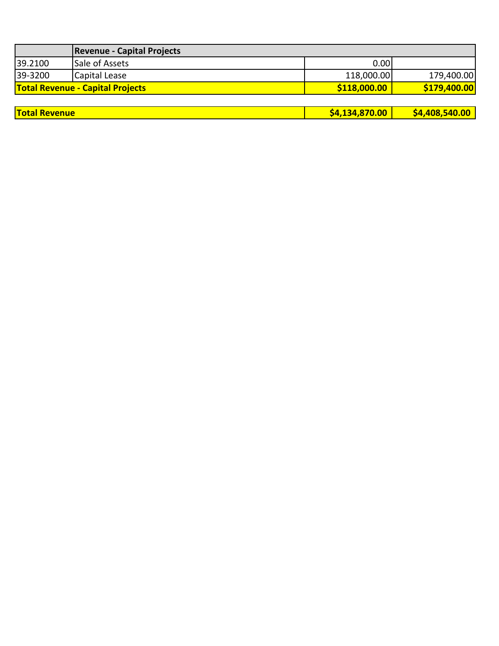|                                         | <b>Revenue - Capital Projects</b> |              |              |
|-----------------------------------------|-----------------------------------|--------------|--------------|
| 39.2100                                 | Sale of Assets                    | 0.00         |              |
| 39-3200                                 | Capital Lease                     | 118,000.00   | 179,400.00   |
| <b>Total Revenue - Capital Projects</b> |                                   | \$118,000.00 | \$179,400.00 |
|                                         |                                   |              |              |

| <b>Total Revenue</b> | \$4.134.870.00 | \$4,408,540.00 |
|----------------------|----------------|----------------|
|----------------------|----------------|----------------|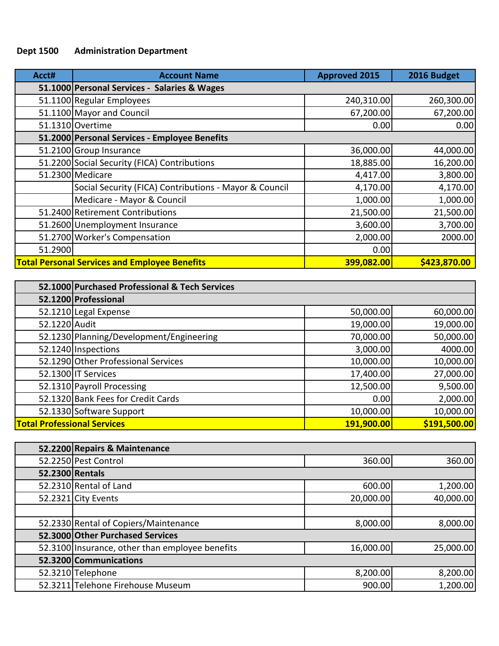## **Dept 1500 Administration Department**

| Acct#   | <b>Account Name</b>                                    | <b>Approved 2015</b> | 2016 Budget  |
|---------|--------------------------------------------------------|----------------------|--------------|
|         | 51.1000 Personal Services - Salaries & Wages           |                      |              |
|         | 51.1100 Regular Employees                              | 240,310.00           | 260,300.00   |
|         | 51.1100 Mayor and Council                              | 67,200.00            | 67,200.00    |
|         | 51.1310 Overtime                                       | 0.00                 | 0.00         |
|         | 51.2000 Personal Services - Employee Benefits          |                      |              |
|         | 51.2100 Group Insurance                                | 36,000.00            | 44,000.00    |
|         | 51.2200 Social Security (FICA) Contributions           | 18,885.00            | 16,200.00    |
|         | 51.2300 Medicare                                       | 4,417.00             | 3,800.00     |
|         | Social Security (FICA) Contributions - Mayor & Council | 4,170.00             | 4,170.00     |
|         | Medicare - Mayor & Council                             | 1,000.00             | 1,000.00     |
|         | 51.2400 Retirement Contributions                       | 21,500.00            | 21,500.00    |
|         | 51.2600 Unemployment Insurance                         | 3,600.00             | 3,700.00     |
|         | 51.2700 Worker's Compensation                          | 2,000.00             | 2000.00      |
| 51.2900 |                                                        | 0.00                 |              |
|         | <b>Total Personal Services and Employee Benefits</b>   | 399,082.00           | \$423,870.00 |

|                                    | 52.1000 Purchased Professional & Tech Services |            |              |
|------------------------------------|------------------------------------------------|------------|--------------|
|                                    | 52.1200 Professional                           |            |              |
|                                    | 52.1210 Legal Expense                          | 50,000.00  | 60,000.00    |
| 52.1220 Audit                      |                                                | 19,000.00  | 19,000.00    |
|                                    | 52.1230 Planning/Development/Engineering       | 70,000.00  | 50,000.00    |
|                                    | 52.1240 Inspections                            | 3,000.00   | 4000.00      |
|                                    | 52.1290 Other Professional Services            | 10,000.00  | 10,000.00    |
|                                    | 52.1300 IT Services                            | 17,400.00  | 27,000.00    |
|                                    | 52.1310 Payroll Processing                     | 12,500.00  | 9,500.00     |
|                                    | 52.1320 Bank Fees for Credit Cards             | 0.00       | 2,000.00     |
|                                    | 52.1330 Software Support                       | 10,000.00  | 10,000.00    |
| <b>Total Professional Services</b> |                                                | 191,900.00 | \$191,500.00 |

|                 | 52.2200 Repairs & Maintenance                   |           |           |
|-----------------|-------------------------------------------------|-----------|-----------|
|                 | 52.2250 Pest Control                            | 360.00    | 360.00    |
| 52.2300 Rentals |                                                 |           |           |
|                 | 52.2310 Rental of Land                          | 600.00    | 1,200.00  |
|                 | 52.2321 City Events                             | 20,000.00 | 40,000.00 |
|                 |                                                 |           |           |
|                 | 52.2330 Rental of Copiers/Maintenance           | 8,000.00  | 8,000.00  |
|                 | 52.3000 Other Purchased Services                |           |           |
|                 | 52.3100 Insurance, other than employee benefits | 16,000.00 | 25,000.00 |
|                 | 52.3200 Communications                          |           |           |
|                 | 52.3210 Telephone                               | 8,200.00  | 8,200.00  |
|                 | 52.3211 Telehone Firehouse Museum               | 900.00    | 1,200.00  |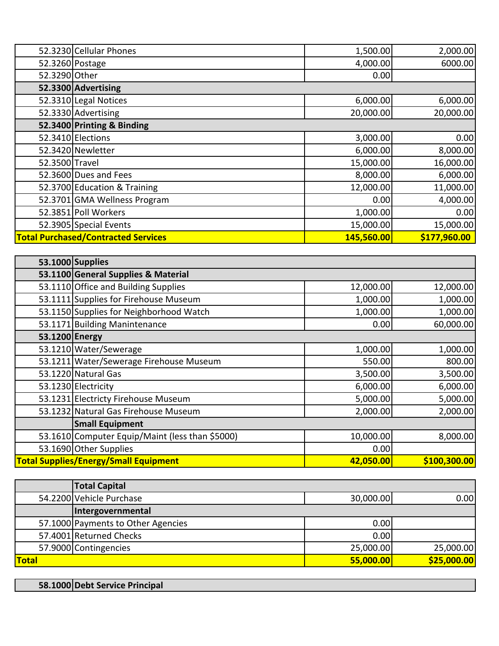|                | 52.3230 Cellular Phones                    | 1,500.00   | 2,000.00     |
|----------------|--------------------------------------------|------------|--------------|
|                | 52.3260 Postage                            | 4,000.00   | 6000.00      |
| 52.3290 Other  |                                            | 0.00       |              |
|                | 52.3300 Advertising                        |            |              |
|                | 52.3310 Legal Notices                      | 6,000.00   | 6,000.00     |
|                | 52.3330 Advertising                        | 20,000.00  | 20,000.00    |
|                | 52.3400 Printing & Binding                 |            |              |
|                | 52.3410 Elections                          | 3,000.00   | 0.00         |
|                | 52.3420 Newletter                          | 6,000.00   | 8,000.00     |
| 52.3500 Travel |                                            | 15,000.00  | 16,000.00    |
|                | 52.3600 Dues and Fees                      | 8,000.00   | 6,000.00     |
|                | 52.3700 Education & Training               | 12,000.00  | 11,000.00    |
|                | 52.3701 GMA Wellness Program               | 0.00       | 4,000.00     |
|                | 52.3851 Poll Workers                       | 1,000.00   | 0.00         |
|                | 52.3905 Special Events                     | 15,000.00  | 15,000.00    |
|                | <b>Total Purchased/Contracted Services</b> | 145,560.00 | \$177,960.00 |

|                                                                           | 53.1000 Supplies                                |           |           |
|---------------------------------------------------------------------------|-------------------------------------------------|-----------|-----------|
|                                                                           | 53.1100 General Supplies & Material             |           |           |
|                                                                           | 53.1110 Office and Building Supplies            | 12,000.00 | 12,000.00 |
|                                                                           | 53.1111 Supplies for Firehouse Museum           | 1,000.00  | 1,000.00  |
|                                                                           | 53.1150 Supplies for Neighborhood Watch         | 1,000.00  | 1,000.00  |
|                                                                           | 53.1171 Building Manintenance                   | 0.00      | 60,000.00 |
| 53.1200 Energy                                                            |                                                 |           |           |
|                                                                           | 53.1210 Water/Sewerage                          | 1,000.00  | 1,000.00  |
|                                                                           | 53.1211 Water/Sewerage Firehouse Museum         | 550.00    | 800.00    |
|                                                                           | 53.1220 Natural Gas                             | 3,500.00  | 3,500.00  |
|                                                                           | 53.1230 Electricity                             | 6,000.00  | 6,000.00  |
|                                                                           | 53.1231 Electricty Firehouse Museum             | 5,000.00  | 5,000.00  |
|                                                                           | 53.1232 Natural Gas Firehouse Museum            | 2,000.00  | 2,000.00  |
|                                                                           | <b>Small Equipment</b>                          |           |           |
|                                                                           | 53.1610 Computer Equip/Maint (less than \$5000) | 10,000.00 | 8,000.00  |
|                                                                           | 53.1690 Other Supplies                          | 0.00      |           |
| <b>Total Supplies/Energy/Small Equipment</b><br>\$100,300.00<br>42,050.00 |                                                 |           |           |

|              | <b>Total Capital</b>               |           |             |
|--------------|------------------------------------|-----------|-------------|
|              | 54.2200 Vehicle Purchase           | 30,000.00 | 0.00        |
|              | Intergovernmental                  |           |             |
|              | 57.1000 Payments to Other Agencies | 0.00      |             |
|              | 57.4001 Returned Checks            | 0.00      |             |
|              | 57.9000 Contingencies              | 25,000.00 | 25,000.00   |
| <b>Total</b> |                                    | 55,000.00 | \$25,000.00 |

| 58.1000 Debt Service Principal |
|--------------------------------|
|--------------------------------|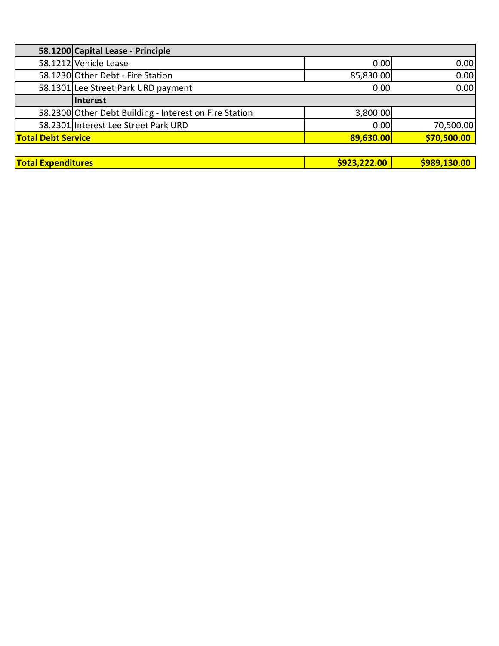|                           | 58.1200 Capital Lease - Principle                      |           |             |
|---------------------------|--------------------------------------------------------|-----------|-------------|
|                           | 58.1212 Vehicle Lease                                  | 0.00      | 0.00        |
|                           | 58.1230 Other Debt - Fire Station                      | 85,830.00 | 0.00        |
|                           | 58.1301 Lee Street Park URD payment                    | 0.00      | 0.00        |
|                           | <b>Interest</b>                                        |           |             |
|                           | 58.2300 Other Debt Building - Interest on Fire Station | 3,800.00  |             |
|                           | 58.2301 Interest Lee Street Park URD                   | 0.00      | 70,500.00   |
| <b>Total Debt Service</b> |                                                        | 89,630.00 | \$70,500.00 |
|                           |                                                        |           |             |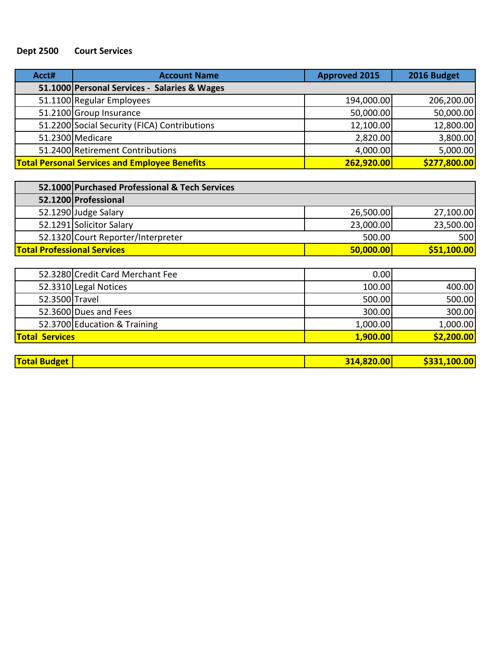## **Dept 2500 Court Services**

| Acct# | <b>Account Name</b>                                  | <b>Approved 2015</b> | 2016 Budget  |
|-------|------------------------------------------------------|----------------------|--------------|
|       | 51.1000 Personal Services - Salaries & Wages         |                      |              |
|       | 51.1100 Regular Employees                            | 194,000.00           | 206,200.00   |
|       | 51.2100 Group Insurance                              | 50,000.00            | 50,000.00    |
|       | 51.2200 Social Security (FICA) Contributions         | 12,100.00            | 12,800.00    |
|       | 51.2300 Medicare                                     | 2,820.00             | 3,800.00     |
|       | 51.2400 Retirement Contributions                     | 4,000.00             | 5,000.00     |
|       | <b>Total Personal Services and Employee Benefits</b> | 262,920.00           | \$277,800.00 |

|                                    | 52.1000 Purchased Professional & Tech Services |           |             |
|------------------------------------|------------------------------------------------|-----------|-------------|
|                                    | 52.1200 Professional                           |           |             |
|                                    | 52.1290 Judge Salary                           | 26,500.00 | 27,100.00   |
|                                    | 52.1291 Solicitor Salary                       | 23,000.00 | 23,500.00   |
|                                    | 52.1320 Court Reporter/Interpreter             | 500.00    | 500         |
| <b>Total Professional Services</b> |                                                | 50,000.00 | \$51,100.00 |

| <b>Total Services</b> |                                  | 1,900.00 | \$2,200.00 |
|-----------------------|----------------------------------|----------|------------|
|                       | 52.3700 Education & Training     | 1,000.00 | 1,000.00   |
|                       | 52.3600 Dues and Fees            | 300.00   | 300.00     |
| 52.3500 Travel        |                                  | 500.00   | 500.00     |
|                       | 52.3310 Legal Notices            | 100.00   | 400.00     |
|                       | 52.3280 Credit Card Merchant Fee | 0.00     |            |

|  | <b>Total Budget</b> | 20.00<br>1 A 7 | nn<br>100 |
|--|---------------------|----------------|-----------|
|--|---------------------|----------------|-----------|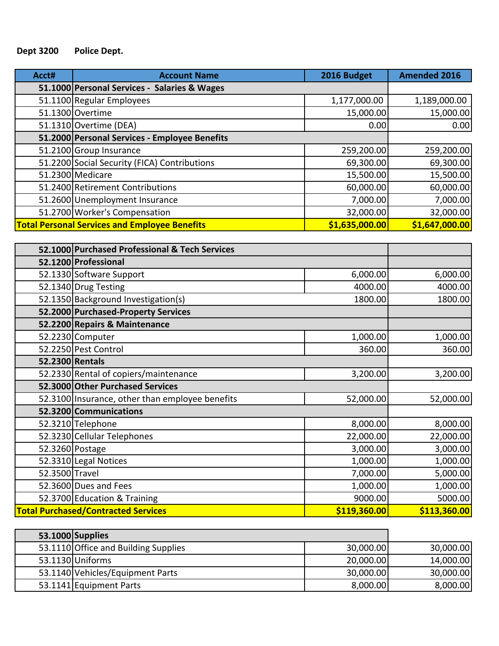## **Dept 3200 Police Dept.**

| Acct# | <b>Account Name</b>                                  | 2016 Budget    | <b>Amended 2016</b> |
|-------|------------------------------------------------------|----------------|---------------------|
|       | 51.1000 Personal Services - Salaries & Wages         |                |                     |
|       | 51.1100 Regular Employees                            | 1,177,000.00   | 1,189,000.00        |
|       | 51.1300 Overtime                                     | 15,000.00      | 15,000.00           |
|       | $51.1310$ Overtime (DEA)                             | 0.00           | 0.00                |
|       | 51.2000 Personal Services - Employee Benefits        |                |                     |
|       | 51.2100 Group Insurance                              | 259,200.00     | 259,200.00          |
|       | 51.2200 Social Security (FICA) Contributions         | 69,300.00      | 69,300.00           |
|       | 51.2300 Medicare                                     | 15,500.00      | 15,500.00           |
|       | 51.2400 Retirement Contributions                     | 60,000.00      | 60,000.00           |
|       | 51.2600 Unemployment Insurance                       | 7,000.00       | 7,000.00            |
|       | 51.2700 Worker's Compensation                        | 32,000.00      | 32,000.00           |
|       | <b>Total Personal Services and Employee Benefits</b> | \$1,635,000.00 | \$1,647,000.00      |

|                 | 52.1000 Purchased Professional & Tech Services  |              |              |
|-----------------|-------------------------------------------------|--------------|--------------|
|                 | 52.1200 Professional                            |              |              |
|                 | 52.1330 Software Support                        | 6,000.00     | 6,000.00     |
|                 | 52.1340 Drug Testing                            | 4000.00      | 4000.00      |
|                 | 52.1350 Background Investigation(s)             | 1800.00      | 1800.00      |
|                 | 52.2000 Purchased-Property Services             |              |              |
|                 | 52.2200 Repairs & Maintenance                   |              |              |
|                 | 52.2230 Computer                                | 1,000.00     | 1,000.00     |
|                 | 52.2250 Pest Control                            | 360.00       | 360.00       |
| 52.2300 Rentals |                                                 |              |              |
|                 | 52.2330 Rental of copiers/maintenance           | 3,200.00     | 3,200.00     |
|                 | 52.3000 Other Purchased Services                |              |              |
|                 | 52.3100 Insurance, other than employee benefits | 52,000.00    | 52,000.00    |
|                 | 52.3200 Communications                          |              |              |
|                 | 52.3210 Telephone                               | 8,000.00     | 8,000.00     |
|                 | 52.3230 Cellular Telephones                     | 22,000.00    | 22,000.00    |
|                 | 52.3260 Postage                                 | 3,000.00     | 3,000.00     |
|                 | 52.3310 Legal Notices                           | 1,000.00     | 1,000.00     |
| 52.3500 Travel  |                                                 | 7,000.00     | 5,000.00     |
|                 | 52.3600 Dues and Fees                           | 1,000.00     | 1,000.00     |
|                 | 52.3700 Education & Training                    | 9000.00      | 5000.00      |
|                 | <b>Total Purchased/Contracted Services</b>      | \$119,360.00 | \$113,360.00 |

| 53.1000 Supplies                     |           |           |
|--------------------------------------|-----------|-----------|
| 53.1110 Office and Building Supplies | 30,000.00 | 30,000.00 |
| 53.1130 Uniforms                     | 20,000.00 | 14,000.00 |
| 53.1140 Vehicles/Equipment Parts     | 30,000.00 | 30,000.00 |
| 53.1141 Equipment Parts              | 8,000.00  | 8,000.00  |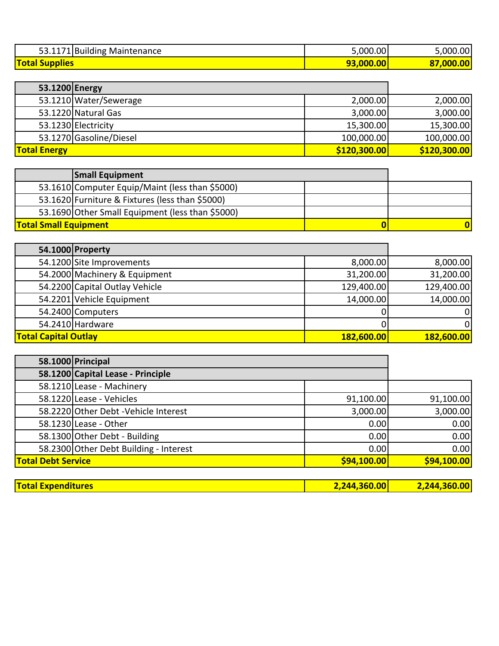| 53.1171 Building<br>Maintenance | 5,000.00 | 5,000.00            |
|---------------------------------|----------|---------------------|
| <b>Total</b><br><b>Supplies</b> | ,000.00, | ,000.00<br>--<br>07 |

| 53.1200 Energy      |                         |              |              |
|---------------------|-------------------------|--------------|--------------|
|                     | 53.1210 Water/Sewerage  | 2,000.00     | 2,000.00     |
|                     | 53.1220 Natural Gas     | 3,000.00     | 3,000.00     |
|                     | 53.1230 Electricity     | 15,300.00    | 15,300.00    |
|                     | 53.1270 Gasoline/Diesel | 100,000.00   | 100,000.00   |
| <b>Total Energy</b> |                         | \$120,300.00 | \$120,300.00 |

|                              | <b>Small Equipment</b>                           |  |
|------------------------------|--------------------------------------------------|--|
|                              | 53.1610 Computer Equip/Maint (less than \$5000)  |  |
|                              | 53.1620 Furniture & Fixtures (less than \$5000)  |  |
|                              | 53.1690 Other Small Equipment (less than \$5000) |  |
| <b>Total Small Equipment</b> |                                                  |  |

|                             | 54.1000 Property               |            |            |
|-----------------------------|--------------------------------|------------|------------|
|                             | 54.1200 Site Improvements      | 8,000.00   | 8,000.00   |
|                             | 54.2000 Machinery & Equipment  | 31,200.00  | 31,200.00  |
|                             | 54.2200 Capital Outlay Vehicle | 129,400.00 | 129,400.00 |
|                             | 54.2201 Vehicle Equipment      | 14,000.00  | 14,000.00  |
|                             | 54.2400 Computers              |            | ΩI         |
|                             | 54.2410 Hardware               |            | ΟI         |
| <b>Total Capital Outlay</b> |                                | 182,600.00 | 182,600.00 |

|                           | 58.1000 Principal                      |             |             |
|---------------------------|----------------------------------------|-------------|-------------|
|                           | 58.1200 Capital Lease - Principle      |             |             |
|                           | 58.1210 Lease - Machinery              |             |             |
|                           | 58.1220 Lease - Vehicles               | 91,100.00   | 91,100.00   |
|                           | 58.2220 Other Debt - Vehicle Interest  | 3,000.00    | 3,000.00    |
|                           | 58.1230 Lease - Other                  | 0.00        | 0.00        |
|                           | 58.1300 Other Debt - Building          | 0.00        | 0.00        |
|                           | 58.2300 Other Debt Building - Interest | 0.00        | 0.00        |
| <b>Total Debt Service</b> |                                        | \$94,100.00 | \$94,100.00 |

| <b>Otal Expenditures</b> | 14.360.00 | — 44 Z60 UE |
|--------------------------|-----------|-------------|
|                          |           |             |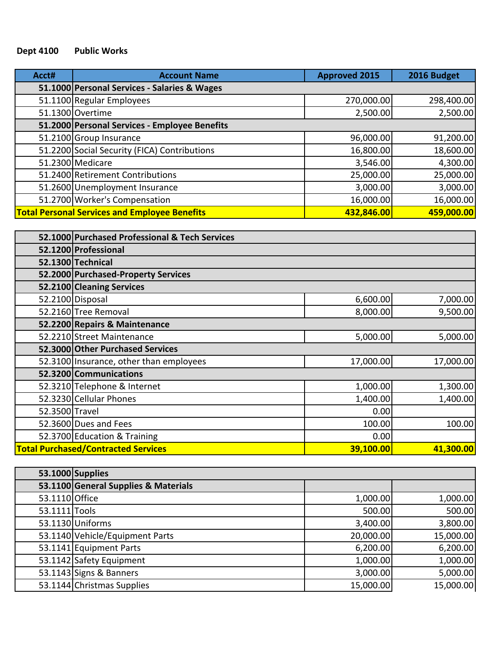# **Dept 4100 Public Works**

| Acct# | <b>Account Name</b>                                  | <b>Approved 2015</b> | 2016 Budget |
|-------|------------------------------------------------------|----------------------|-------------|
|       | 51.1000 Personal Services - Salaries & Wages         |                      |             |
|       | 51.1100 Regular Employees                            | 270,000.00           | 298,400.00  |
|       | 51.1300 Overtime                                     | 2,500.00             | 2,500.00    |
|       | 51.2000 Personal Services - Employee Benefits        |                      |             |
|       | 51.2100 Group Insurance                              | 96,000.00            | 91,200.00   |
|       | 51.2200 Social Security (FICA) Contributions         | 16,800.00            | 18,600.00   |
|       | 51.2300 Medicare                                     | 3,546.00             | 4,300.00    |
|       | 51.2400 Retirement Contributions                     | 25,000.00            | 25,000.00   |
|       | 51.2600 Unemployment Insurance                       | 3,000.00             | 3,000.00    |
|       | 51.2700 Worker's Compensation                        | 16,000.00            | 16,000.00   |
|       | <b>Total Personal Services and Employee Benefits</b> | 432,846.00           | 459,000.00  |

|                | 52.1000 Purchased Professional & Tech Services |           |           |
|----------------|------------------------------------------------|-----------|-----------|
|                | 52.1200 Professional                           |           |           |
|                | 52.1300 Technical                              |           |           |
|                | 52.2000 Purchased-Property Services            |           |           |
|                | 52.2100 Cleaning Services                      |           |           |
|                | 52.2100 Disposal                               | 6,600.00  | 7,000.00  |
|                | 52.2160 Tree Removal                           | 8,000.00  | 9,500.00  |
|                | 52.2200 Repairs & Maintenance                  |           |           |
|                | 52.2210 Street Maintenance                     | 5,000.00  | 5,000.00  |
|                | 52.3000 Other Purchased Services               |           |           |
|                | 52.3100 Insurance, other than employees        | 17,000.00 | 17,000.00 |
|                | 52.3200 Communications                         |           |           |
|                | 52.3210 Telephone & Internet                   | 1,000.00  | 1,300.00  |
|                | 52.3230 Cellular Phones                        | 1,400.00  | 1,400.00  |
| 52.3500 Travel |                                                | 0.00      |           |
|                | 52.3600 Dues and Fees                          | 100.00    | 100.00    |
|                | 52.3700 Education & Training                   | 0.00      |           |
|                | <b>Total Purchased/Contracted Services</b>     | 39,100.00 | 41,300.00 |

|                | 53.1000 Supplies                     |           |           |
|----------------|--------------------------------------|-----------|-----------|
|                | 53.1100 General Supplies & Materials |           |           |
| 53.1110 Office |                                      | 1,000.00  | 1,000.00  |
| 53.1111 Tools  |                                      | 500.00    | 500.00    |
|                | 53.1130 Uniforms                     | 3,400.00  | 3,800.00  |
|                | 53.1140 Vehicle/Equipment Parts      | 20,000.00 | 15,000.00 |
|                | 53.1141 Equipment Parts              | 6,200.00  | 6,200.00  |
|                | 53.1142 Safety Equipment             | 1,000.00  | 1,000.00  |
|                | 53.1143 Signs & Banners              | 3,000.00  | 5,000.00  |
|                | 53.1144 Christmas Supplies           | 15,000.00 | 15,000.00 |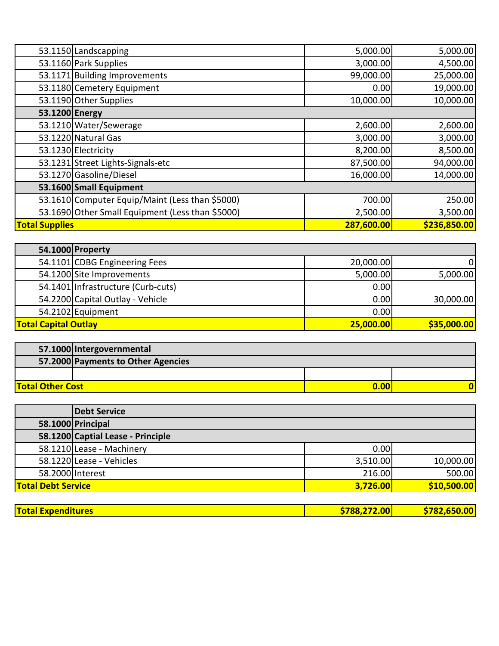|                       | 53.1150 Landscapping                             | 5,000.00   | 5,000.00     |
|-----------------------|--------------------------------------------------|------------|--------------|
|                       | 53.1160 Park Supplies                            | 3,000.00   | 4,500.00     |
|                       | 53.1171 Building Improvements                    | 99,000.00  | 25,000.00    |
|                       | 53.1180 Cemetery Equipment                       | 0.00       | 19,000.00    |
|                       | 53.1190 Other Supplies                           | 10,000.00  | 10,000.00    |
| 53.1200 Energy        |                                                  |            |              |
|                       | 53.1210 Water/Sewerage                           | 2,600.00   | 2,600.00     |
|                       | 53.1220 Natural Gas                              | 3,000.00   | 3,000.00     |
|                       | 53.1230 Electricity                              | 8,200.00   | 8,500.00     |
|                       | 53.1231 Street Lights-Signals-etc                | 87,500.00  | 94,000.00    |
|                       | 53.1270 Gasoline/Diesel                          | 16,000.00  | 14,000.00    |
|                       | 53.1600 Small Equipment                          |            |              |
|                       | 53.1610 Computer Equip/Maint (Less than \$5000)  | 700.00     | 250.00       |
|                       | 53.1690 Other Small Equipment (Less than \$5000) | 2,500.00   | 3,500.00     |
| <b>Total Supplies</b> |                                                  | 287,600.00 | \$236,850.00 |

|                             | 54.1000 Property                   |           |             |
|-----------------------------|------------------------------------|-----------|-------------|
|                             | 54.1101 CDBG Engineering Fees      | 20,000.00 | $\Omega$    |
|                             | 54.1200 Site Improvements          | 5,000.00  | 5,000.00    |
|                             | 54.1401 Infrastructure (Curb-cuts) | 0.00      |             |
|                             | 54.2200 Capital Outlay - Vehicle   | 0.00      | 30,000.00   |
|                             | 54.2102 Equipment                  | 0.00      |             |
| <b>Total Capital Outlay</b> |                                    | 25,000.00 | \$35,000.00 |

|                                  | 57.1000 Intergovernmental          |  |  |
|----------------------------------|------------------------------------|--|--|
|                                  | 57.2000 Payments to Other Agencies |  |  |
|                                  |                                    |  |  |
| <b>Total Other Cost</b><br>0.001 |                                    |  |  |

| <b>Debt Service</b> |                                                                                                                                                                  |             |
|---------------------|------------------------------------------------------------------------------------------------------------------------------------------------------------------|-------------|
|                     |                                                                                                                                                                  |             |
|                     |                                                                                                                                                                  |             |
|                     | 0.00                                                                                                                                                             |             |
|                     | 3,510.00                                                                                                                                                         | 10,000.00   |
|                     | 216.00                                                                                                                                                           | 500.00      |
|                     | 3,726.00                                                                                                                                                         | \$10,500.00 |
|                     | 58.1000 Principal<br>58.1200 Captial Lease - Principle<br>58.1210 Lease - Machinery<br>58.1220 Lease - Vehicles<br>58.2000 Interest<br><b>Total Debt Service</b> |             |

|  | <b>Total Expenditures</b> | <b>\$788,272.00</b> | $\overline{00}$<br><u> 6709 CFA</u><br>ЮZ |
|--|---------------------------|---------------------|-------------------------------------------|
|--|---------------------------|---------------------|-------------------------------------------|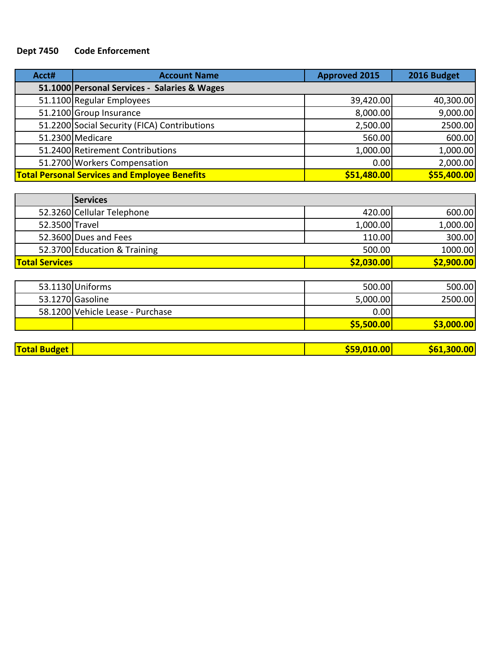## **Dept 7450 Code Enforcement**

| Acct# | <b>Account Name</b>                                  | <b>Approved 2015</b> | 2016 Budget |
|-------|------------------------------------------------------|----------------------|-------------|
|       | 51.1000 Personal Services - Salaries & Wages         |                      |             |
|       | 51.1100 Regular Employees                            | 39,420.00            | 40,300.00   |
|       | 51.2100 Group Insurance                              | 8,000.00             | 9,000.00    |
|       | 51.2200 Social Security (FICA) Contributions         | 2,500.00             | 2500.00     |
|       | 51.2300 Medicare                                     | 560.00               | 600.00      |
|       | 51.2400 Retirement Contributions                     | 1,000.00             | 1,000.00    |
|       | 51.2700 Workers Compensation                         | 0.00                 | 2,000.00    |
|       | <b>Total Personal Services and Employee Benefits</b> | \$51,480.00          | \$55,400.00 |

|                       | <b>Services</b>              |            |            |
|-----------------------|------------------------------|------------|------------|
|                       | 52.3260 Cellular Telephone   | 420.00     | 600.00     |
| 52.3500 Travel        |                              | 1,000.00   | 1,000.00   |
|                       | 52.3600 Dues and Fees        | 110.00     | 300.00     |
|                       | 52.3700 Education & Training | 500.00     | 1000.00    |
| <b>Total Services</b> |                              | \$2,030.00 | \$2,900.00 |

|                     | 53.1130 Uniforms                 | 500.00          | 500.00      |
|---------------------|----------------------------------|-----------------|-------------|
|                     | 53.1270 Gasoline                 | 5,000.00        | 2500.00     |
|                     | 58.1200 Vehicle Lease - Purchase | 0.00            |             |
|                     |                                  | \$5,500.00      | \$3,000.00  |
|                     |                                  |                 |             |
| <b>Total Budget</b> |                                  | $ $ \$59,010.00 | \$61,300.00 |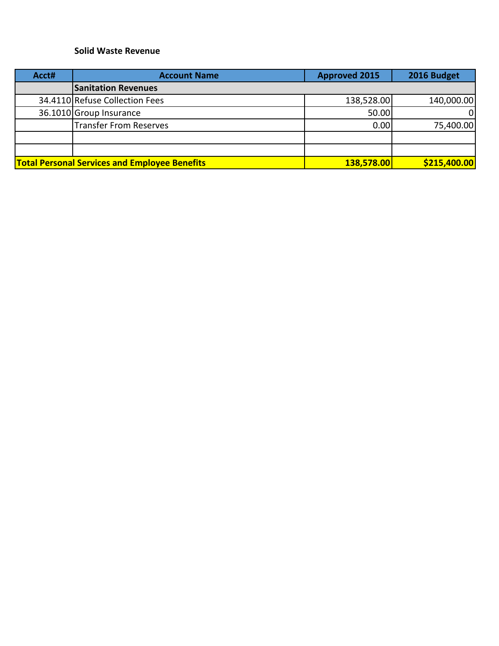#### **Solid Waste Revenue**

| Acct# | <b>Account Name</b>                                  | <b>Approved 2015</b> | 2016 Budget  |
|-------|------------------------------------------------------|----------------------|--------------|
|       | <b>Sanitation Revenues</b>                           |                      |              |
|       | 34.4110 Refuse Collection Fees                       | 138,528.00           | 140,000.00   |
|       | 36.1010 Group Insurance                              | 50.00                | ΩI           |
|       | <b>Transfer From Reserves</b>                        | 0.00                 | 75,400.00    |
|       |                                                      |                      |              |
|       |                                                      |                      |              |
|       | <b>Total Personal Services and Employee Benefits</b> | 138,578.00           | \$215,400.00 |